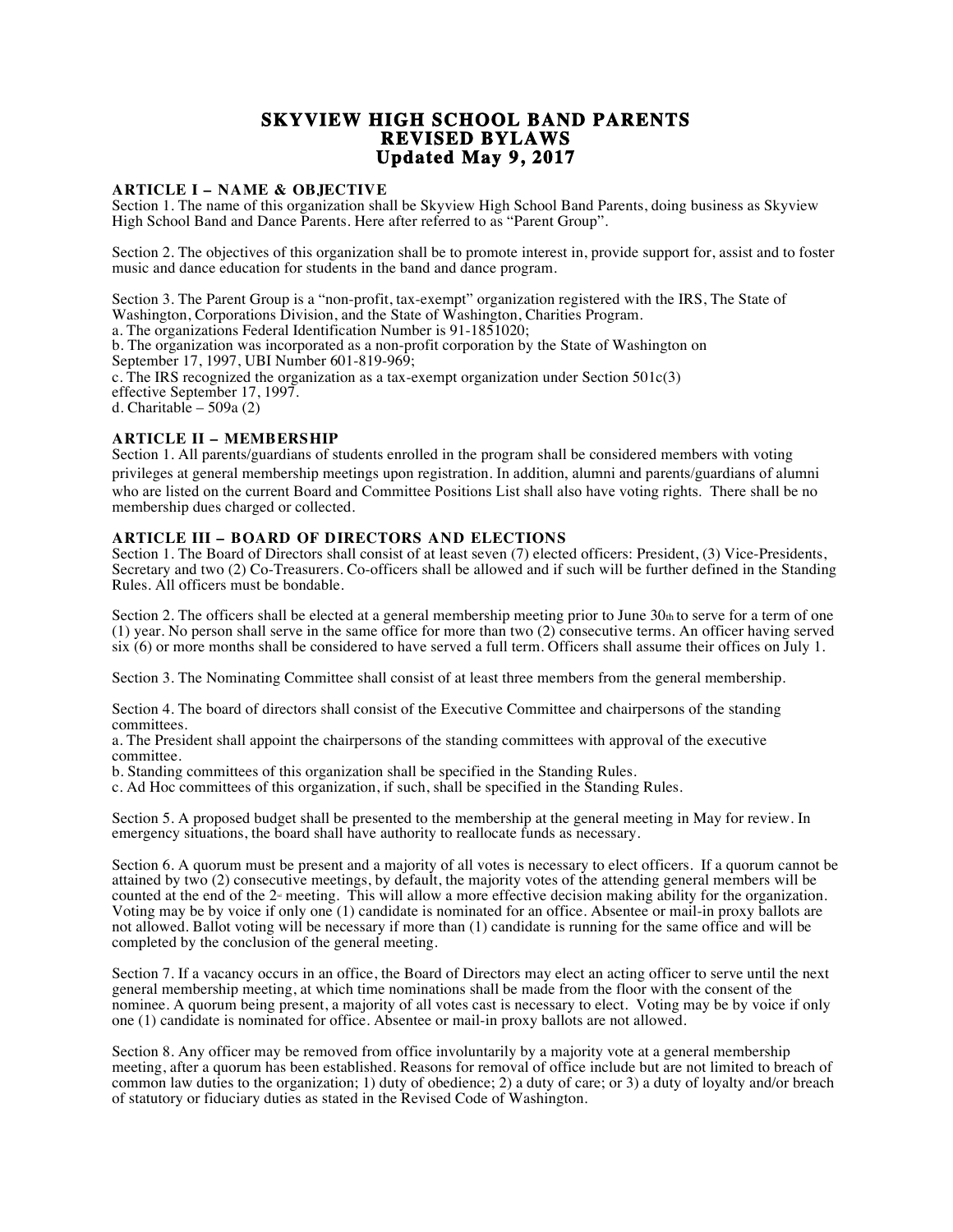# **SKYVIEW HIGH SCHOOL BAND PARENTS REVISED BYLAWS Updated May 9, 2017**

# **ARTICLE I – NAME & OBJECTIVE**

Section 1. The name of this organization shall be Skyview High School Band Parents, doing business as Skyview High School Band and Dance Parents. Here after referred to as "Parent Group".

Section 2. The objectives of this organization shall be to promote interest in, provide support for, assist and to foster music and dance education for students in the band and dance program.

Section 3. The Parent Group is a "non-profit, tax-exempt" organization registered with the IRS, The State of Washington, Corporations Division, and the State of Washington, Charities Program. a. The organizations Federal Identification Number is 91-1851020;

b. The organization was incorporated as a non-profit corporation by the State of Washington on September 17, 1997, UBI Number 601-819-969;

c. The IRS recognized the organization as a tax-exempt organization under Section 501c(3) effective September 17, 1997.

d. Charitable – 509a (2)

# **ARTICLE II – MEMBERSHIP**

Section 1. All parents/guardians of students enrolled in the program shall be considered members with voting privileges at general membership meetings upon registration. In addition, alumni and parents/guardians of alumni who are listed on the current Board and Committee Positions List shall also have voting rights. There shall be no membership dues charged or collected.

#### **ARTICLE III – BOARD OF DIRECTORS AND ELECTIONS**

Section 1. The Board of Directors shall consist of at least seven (7) elected officers: President, (3) Vice-Presidents, Secretary and two (2) Co-Treasurers. Co-officers shall be allowed and if such will be further defined in the Standing Rules. All officers must be bondable.

Section 2. The officers shall be elected at a general membership meeting prior to June  $30<sub>th</sub>$  to serve for a term of one (1) year. No person shall serve in the same office for more than two (2) consecutive terms. An officer having served six (6) or more months shall be considered to have served a full term. Officers shall assume their offices on July 1.

Section 3. The Nominating Committee shall consist of at least three members from the general membership.

Section 4. The board of directors shall consist of the Executive Committee and chairpersons of the standing committees.

a. The President shall appoint the chairpersons of the standing committees with approval of the executive committee.

b. Standing committees of this organization shall be specified in the Standing Rules.

c. Ad Hoc committees of this organization, if such, shall be specified in the Standing Rules.

Section 5. A proposed budget shall be presented to the membership at the general meeting in May for review. In emergency situations, the board shall have authority to reallocate funds as necessary.

Section 6. A quorum must be present and a majority of all votes is necessary to elect officers. If a quorum cannot be attained by two (2) consecutive meetings, by default, the majority votes of the attending general members will be counted at the end of the  $2<sup>a</sup>$  meeting. This will allow a more effective decision making ability for the organization. Voting may be by voice if only one (1) candidate is nominated for an office. Absentee or mail-in proxy ballots are not allowed. Ballot voting will be necessary if more than (1) candidate is running for the same office and will be completed by the conclusion of the general meeting.

Section 7. If a vacancy occurs in an office, the Board of Directors may elect an acting officer to serve until the next general membership meeting, at which time nominations shall be made from the floor with the consent of the nominee. A quorum being present, a majority of all votes cast is necessary to elect. Voting may be by voice if only one (1) candidate is nominated for office. Absentee or mail-in proxy ballots are not allowed.

Section 8. Any officer may be removed from office involuntarily by a majority vote at a general membership meeting, after a quorum has been established. Reasons for removal of office include but are not limited to breach of common law duties to the organization; 1) duty of obedience; 2) a duty of care; or 3) a duty of loyalty and/or breach of statutory or fiduciary duties as stated in the Revised Code of Washington.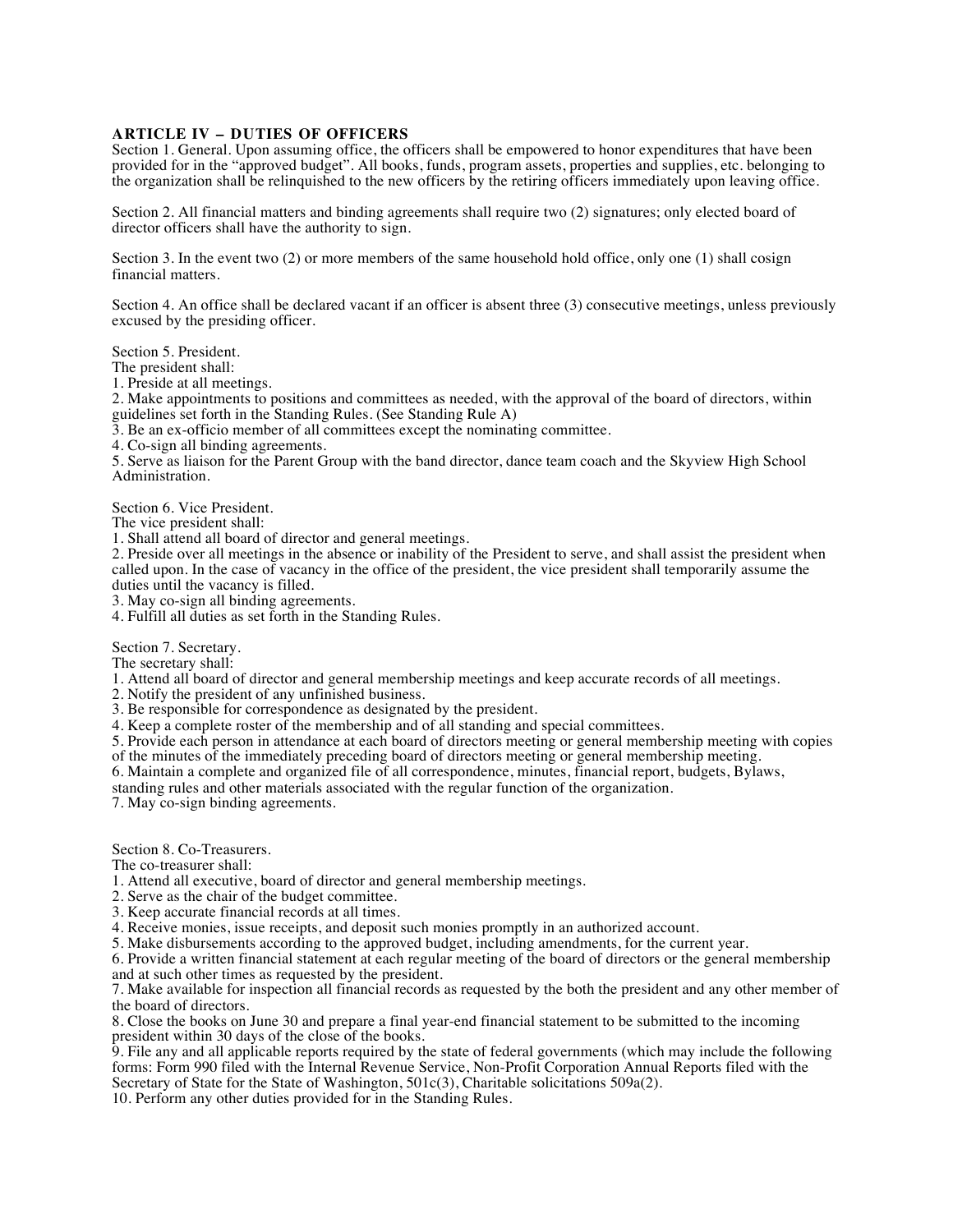# **ARTICLE IV – DUTIES OF OFFICERS**

Section 1. General. Upon assuming office, the officers shall be empowered to honor expenditures that have been provided for in the "approved budget". All books, funds, program assets, properties and supplies, etc. belonging to the organization shall be relinquished to the new officers by the retiring officers immediately upon leaving office.

Section 2. All financial matters and binding agreements shall require two (2) signatures; only elected board of director officers shall have the authority to sign.

Section 3. In the event two (2) or more members of the same household hold office, only one (1) shall cosign financial matters.

Section 4. An office shall be declared vacant if an officer is absent three (3) consecutive meetings, unless previously excused by the presiding officer.

Section 5. President.

The president shall:

1. Preside at all meetings.

2. Make appointments to positions and committees as needed, with the approval of the board of directors, within guidelines set forth in the Standing Rules. (See Standing Rule A)

3. Be an ex-officio member of all committees except the nominating committee.

4. Co-sign all binding agreements.

5. Serve as liaison for the Parent Group with the band director, dance team coach and the Skyview High School Administration.

Section 6. Vice President.

The vice president shall:

1. Shall attend all board of director and general meetings.

2. Preside over all meetings in the absence or inability of the President to serve, and shall assist the president when called upon. In the case of vacancy in the office of the president, the vice president shall temporarily assume the duties until the vacancy is filled.

3. May co-sign all binding agreements.

4. Fulfill all duties as set forth in the Standing Rules.

Section 7. Secretary.

The secretary shall:

1. Attend all board of director and general membership meetings and keep accurate records of all meetings.

2. Notify the president of any unfinished business.

3. Be responsible for correspondence as designated by the president.

4. Keep a complete roster of the membership and of all standing and special committees.

5. Provide each person in attendance at each board of directors meeting or general membership meeting with copies of the minutes of the immediately preceding board of directors meeting or general membership meeting.

6. Maintain a complete and organized file of all correspondence, minutes, financial report, budgets, Bylaws,

standing rules and other materials associated with the regular function of the organization.

7. May co-sign binding agreements.

Section 8. Co-Treasurers.

The co-treasurer shall:

1. Attend all executive, board of director and general membership meetings.

2. Serve as the chair of the budget committee.

3. Keep accurate financial records at all times.

4. Receive monies, issue receipts, and deposit such monies promptly in an authorized account.

5. Make disbursements according to the approved budget, including amendments, for the current year.

6. Provide a written financial statement at each regular meeting of the board of directors or the general membership and at such other times as requested by the president.

7. Make available for inspection all financial records as requested by the both the president and any other member of the board of directors.

8. Close the books on June 30 and prepare a final year-end financial statement to be submitted to the incoming president within 30 days of the close of the books.

9. File any and all applicable reports required by the state of federal governments (which may include the following forms: Form 990 filed with the Internal Revenue Service, Non-Profit Corporation Annual Reports filed with the Secretary of State for the State of Washington, 501c(3), Charitable solicitations 509a(2).

10. Perform any other duties provided for in the Standing Rules.